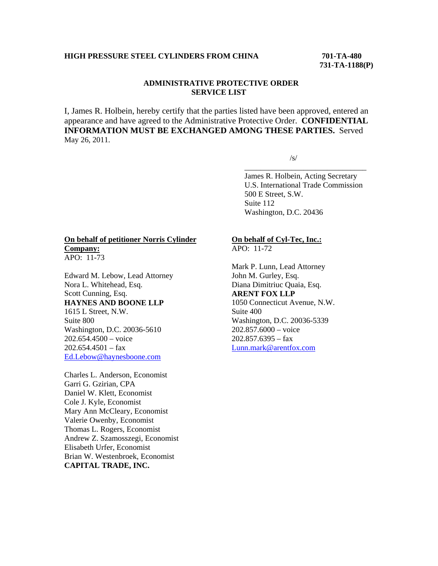### **HIGH PRESSURE STEEL CYLINDERS FROM CHINA 701-TA-480**

 **731-TA-1188(P)** 

# **ADMINISTRATIVE PROTECTIVE ORDER SERVICE LIST**

I, James R. Holbein, hereby certify that the parties listed have been approved, entered an appearance and have agreed to the Administrative Protective Order. **CONFIDENTIAL INFORMATION MUST BE EXCHANGED AMONG THESE PARTIES.** Served May 26, 2011.

 $\overline{\phantom{a}}$  , and the contract of the contract of the contract of the contract of the contract of the contract of the contract of the contract of the contract of the contract of the contract of the contract of the contrac

 $\sqrt{s}$ /s/

 James R. Holbein, Acting Secretary U.S. International Trade Commission 500 E Street, S.W. Suite 112 Washington, D.C. 20436

#### **On behalf of petitioner Norris Cylinder Company:** APO: 11-73

Edward M. Lebow, Lead Attorney Nora L. Whitehead, Esq. Scott Cunning, Esq. **HAYNES AND BOONE LLP** 1615 L Street, N.W. Suite 800 Washington, D.C. 20036-5610 202.654.4500 – voice  $202.654.4501 - fax$ Ed.Lebow@haynesboone.com

Charles L. Anderson, Economist Garri G. Gzirian, CPA Daniel W. Klett, Economist Cole J. Kyle, Economist Mary Ann McCleary, Economist Valerie Owenby, Economist Thomas L. Rogers, Economist Andrew Z. Szamosszegi, Economist Elisabeth Urfer, Economist Brian W. Westenbroek, Economist **CAPITAL TRADE, INC.**

### **On behalf of Cyl-Tec, Inc.:**  $\overline{APO: 11-72}$

Mark P. Lunn, Lead Attorney John M. Gurley, Esq. Diana Dimitriuc Quaia, Esq. **ARENT FOX LLP** 1050 Connecticut Avenue, N.W. Suite 400 Washington, D.C. 20036-5339 202.857.6000 – voice  $202.857.6395 - fax$ Lunn.mark@arentfox.com